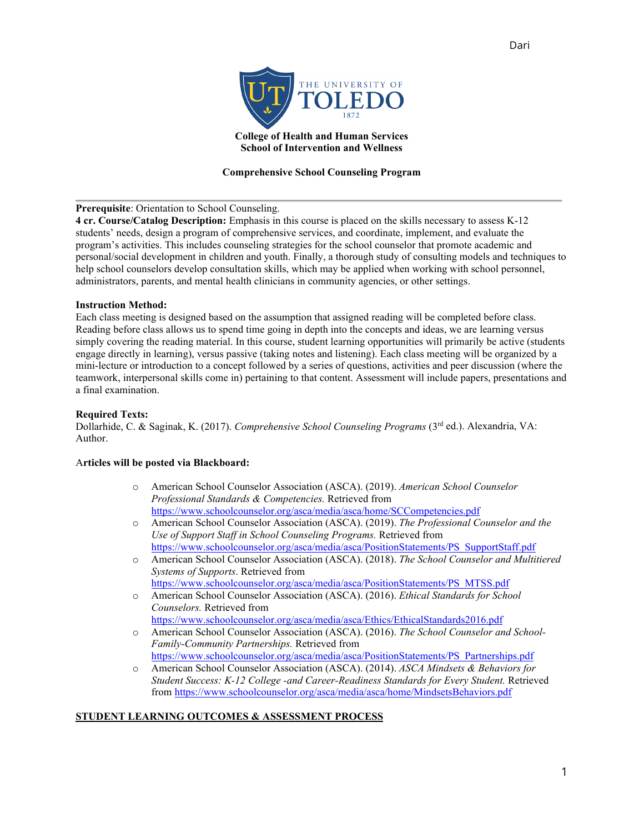Dari

**College of Health and Human Services School of Intervention and Wellness**

# **Comprehensive School Counseling Program**

# **Prerequisite**: Orientation to School Counseling.

**4 cr. Course/Catalog Description:** Emphasis in this course is placed on the skills necessary to assess K-12 students' needs, design a program of comprehensive services, and coordinate, implement, and evaluate the program's activities. This includes counseling strategies for the school counselor that promote academic and personal/social development in children and youth. Finally, a thorough study of consulting models and techniques to help school counselors develop consultation skills, which may be applied when working with school personnel, administrators, parents, and mental health clinicians in community agencies, or other settings.

# **Instruction Method:**

Each class meeting is designed based on the assumption that assigned reading will be completed before class. Reading before class allows us to spend time going in depth into the concepts and ideas, we are learning versus simply covering the reading material. In this course, student learning opportunities will primarily be active (students engage directly in learning), versus passive (taking notes and listening). Each class meeting will be organized by a mini-lecture or introduction to a concept followed by a series of questions, activities and peer discussion (where the teamwork, interpersonal skills come in) pertaining to that content. Assessment will include papers, presentations and a final examination.

# **Required Texts:**

Dollarhide, C. & Saginak, K. (2017). *Comprehensive School Counseling Programs* (3rd ed.). Alexandria, VA: Author.

# A**rticles will be posted via Blackboard:**

- o American School Counselor Association (ASCA). (2019). *American School Counselor Professional Standards & Competencies.* Retrieved from <https://www.schoolcounselor.org/asca/media/asca/home/SCCompetencies.pdf>
- o American School Counselor Association (ASCA). (2019). *The Professional Counselor and the Use of Support Staff in School Counseling Programs.* Retrieved from [https://www.schoolcounselor.org/asca/media/asca/PositionStatements/PS\\_SupportStaff.pdf](https://www.schoolcounselor.org/asca/media/asca/PositionStatements/PS_SupportStaff.pdf)
- o American School Counselor Association (ASCA). (2018). *The School Counselor and Multitiered Systems of Supports*. Retrieved from [https://www.schoolcounselor.org/asca/media/asca/PositionStatements/PS\\_MTSS.pdf](https://www.schoolcounselor.org/asca/media/asca/PositionStatements/PS_MTSS.pdf)
- o American School Counselor Association (ASCA). (2016). *Ethical Standards for School Counselors.* Retrieved from <https://www.schoolcounselor.org/asca/media/asca/Ethics/EthicalStandards2016.pdf>
- o American School Counselor Association (ASCA). (2016). *The School Counselor and School-Family-Community Partnerships.* Retrieved from [https://www.schoolcounselor.org/asca/media/asca/PositionStatements/PS\\_Partnerships.pdf](https://www.schoolcounselor.org/asca/media/asca/PositionStatements/PS_Partnerships.pdf)
- o American School Counselor Association (ASCA). (2014). *ASCA Mindsets & Behaviors for Student Success: K-12 College -and Career-Readiness Standards for Every Student.* Retrieved from<https://www.schoolcounselor.org/asca/media/asca/home/MindsetsBehaviors.pdf>

# **STUDENT LEARNING OUTCOMES & ASSESSMENT PROCESS**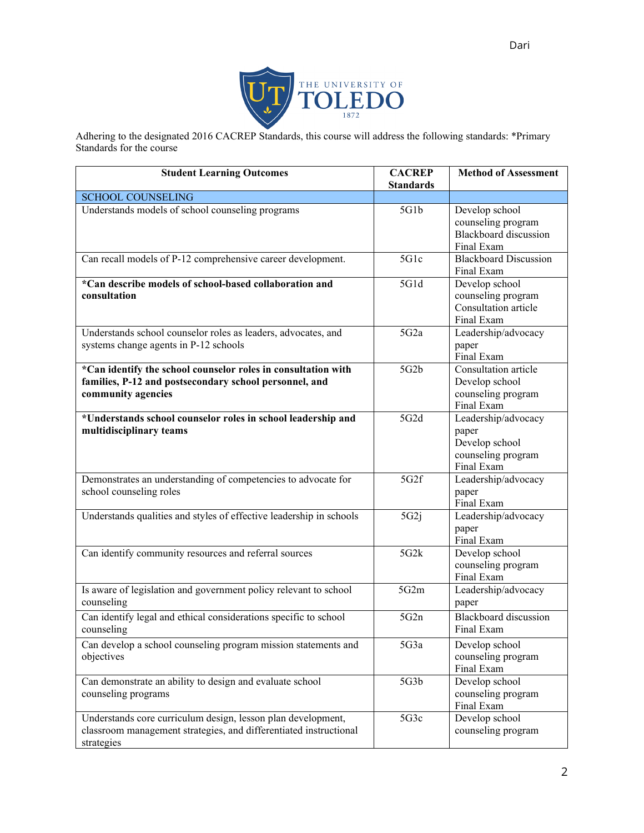

Adhering to the designated 2016 CACREP Standards, this course will address the following standards: \*Primary Standards for the course

| <b>Student Learning Outcomes</b>                                                                                                                | <b>CACREP</b><br><b>Standards</b> | <b>Method of Assessment</b>                                                        |
|-------------------------------------------------------------------------------------------------------------------------------------------------|-----------------------------------|------------------------------------------------------------------------------------|
| <b>SCHOOL COUNSELING</b>                                                                                                                        |                                   |                                                                                    |
| Understands models of school counseling programs                                                                                                | 5G1b                              | Develop school<br>counseling program<br><b>Blackboard</b> discussion<br>Final Exam |
| Can recall models of P-12 comprehensive career development.                                                                                     | 5G1c                              | <b>Blackboard Discussion</b><br>Final Exam                                         |
| *Can describe models of school-based collaboration and<br>consultation                                                                          | 5G1d                              | Develop school<br>counseling program<br>Consultation article<br>Final Exam         |
| Understands school counselor roles as leaders, advocates, and<br>systems change agents in P-12 schools                                          | 5G2a                              | Leadership/advocacy<br>paper<br>Final Exam                                         |
| *Can identify the school counselor roles in consultation with<br>families, P-12 and postsecondary school personnel, and<br>community agencies   | 5G2b                              | Consultation article<br>Develop school<br>counseling program<br>Final Exam         |
| *Understands school counselor roles in school leadership and<br>multidisciplinary teams                                                         | 5G2d                              | Leadership/advocacy<br>paper<br>Develop school<br>counseling program<br>Final Exam |
| Demonstrates an understanding of competencies to advocate for<br>school counseling roles                                                        | 5G2f                              | Leadership/advocacy<br>paper<br>Final Exam                                         |
| Understands qualities and styles of effective leadership in schools                                                                             | 5G2i                              | Leadership/advocacy<br>paper<br>Final Exam                                         |
| Can identify community resources and referral sources                                                                                           | 5G2k                              | Develop school<br>counseling program<br>Final Exam                                 |
| Is aware of legislation and government policy relevant to school<br>counseling                                                                  | 5G2m                              | Leadership/advocacy<br>paper                                                       |
| Can identify legal and ethical considerations specific to school<br>counseling                                                                  | 5G2n                              | Blackboard discussion<br>Final Exam                                                |
| Can develop a school counseling program mission statements and<br>objectives                                                                    | 5G3a                              | Develop school<br>counseling program<br>Final Exam                                 |
| Can demonstrate an ability to design and evaluate school<br>counseling programs                                                                 | 5G3b                              | Develop school<br>counseling program<br>Final Exam                                 |
| Understands core curriculum design, lesson plan development,<br>classroom management strategies, and differentiated instructional<br>strategies | 5G3c                              | Develop school<br>counseling program                                               |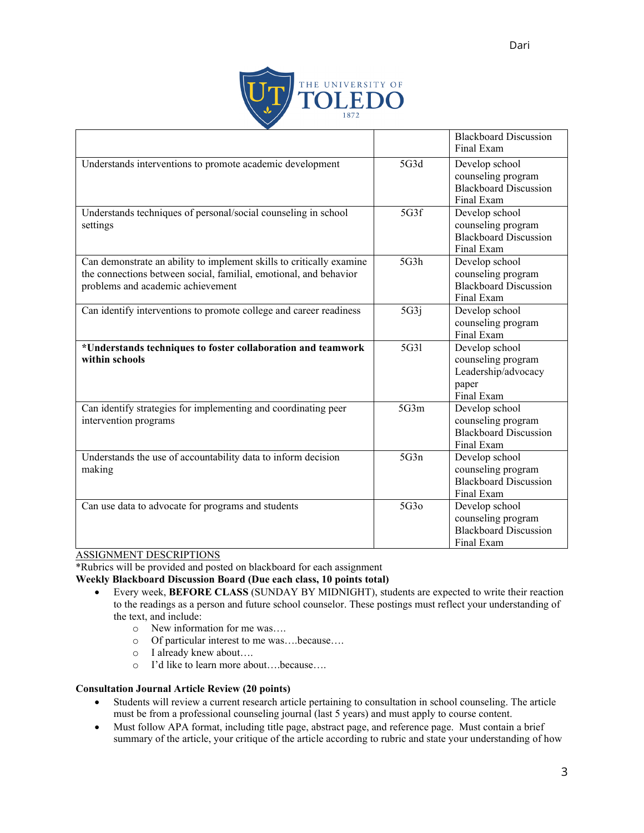

|                                                                                                                                                                                |      | <b>Blackboard Discussion</b><br>Final Exam                                         |
|--------------------------------------------------------------------------------------------------------------------------------------------------------------------------------|------|------------------------------------------------------------------------------------|
| Understands interventions to promote academic development                                                                                                                      | 5G3d | Develop school<br>counseling program<br><b>Blackboard Discussion</b><br>Final Exam |
| Understands techniques of personal/social counseling in school<br>settings                                                                                                     | 5G3f | Develop school<br>counseling program<br><b>Blackboard Discussion</b><br>Final Exam |
| Can demonstrate an ability to implement skills to critically examine<br>the connections between social, familial, emotional, and behavior<br>problems and academic achievement | 5G3h | Develop school<br>counseling program<br><b>Blackboard Discussion</b><br>Final Exam |
| Can identify interventions to promote college and career readiness                                                                                                             | 5G3j | Develop school<br>counseling program<br>Final Exam                                 |
| *Understands techniques to foster collaboration and teamwork<br>within schools                                                                                                 | 5G31 | Develop school<br>counseling program<br>Leadership/advocacy<br>paper<br>Final Exam |
| Can identify strategies for implementing and coordinating peer<br>intervention programs                                                                                        | 5G3m | Develop school<br>counseling program<br><b>Blackboard Discussion</b><br>Final Exam |
| Understands the use of accountability data to inform decision<br>making                                                                                                        | 5G3n | Develop school<br>counseling program<br><b>Blackboard Discussion</b><br>Final Exam |
| Can use data to advocate for programs and students                                                                                                                             | 5G3o | Develop school<br>counseling program<br><b>Blackboard Discussion</b><br>Final Exam |

# ASSIGNMENT DESCRIPTIONS

\*Rubrics will be provided and posted on blackboard for each assignment

**Weekly Blackboard Discussion Board (Due each class, 10 points total)** 

- Every week, **BEFORE CLASS** (SUNDAY BY MIDNIGHT), students are expected to write their reaction to the readings as a person and future school counselor. These postings must reflect your understanding of the text, and include:<br> $\circ$  New inform
	-
	- o New information for me was....<br>o Of particular interest to me was.  $\circ$  Of particular interest to me was....because....<br> $\circ$  I already knew about....
	- o I already knew about….
	- I'd like to learn more about....because....

# **Consultation Journal Article Review (20 points)**

- Students will review a current research article pertaining to consultation in school counseling. The article must be from a professional counseling journal (last 5 years) and must apply to course content.
- Must follow APA format, including title page, abstract page, and reference page. Must contain a brief summary of the article, your critique of the article according to rubric and state your understanding of how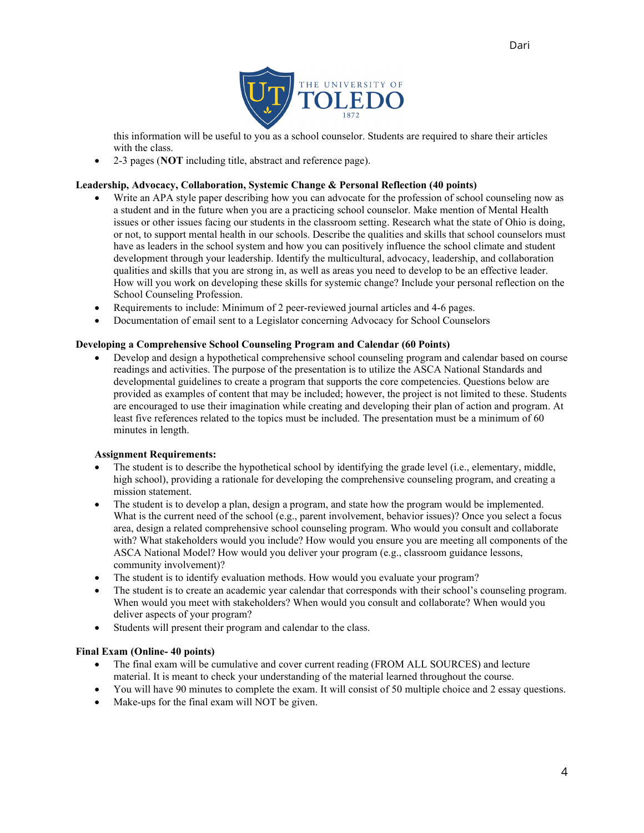

this information will be useful to you as a school counselor. Students are required to share their articles with the class.

• 2-3 pages (**NOT** including title, abstract and reference page).

# **Leadership, Advocacy, Collaboration, Systemic Change & Personal Reflection (40 points)**

- Write an APA style paper describing how you can advocate for the profession of school counseling now as a student and in the future when you are a practicing school counselor. Make mention of Mental Health issues or other issues facing our students in the classroom setting. Research what the state of Ohio is doing, or not, to support mental health in our schools. Describe the qualities and skills that school counselors must have as leaders in the school system and how you can positively influence the school climate and student development through your leadership. Identify the multicultural, advocacy, leadership, and collaboration qualities and skills that you are strong in, as well as areas you need to develop to be an effective leader. How will you work on developing these skills for systemic change? Include your personal reflection on the School Counseling Profession.
- Requirements to include: Minimum of 2 peer-reviewed journal articles and 4-6 pages.
- Documentation of email sent to a Legislator concerning Advocacy for School Counselors

# **Developing a Comprehensive School Counseling Program and Calendar (60 Points)**

• Develop and design a hypothetical comprehensive school counseling program and calendar based on course readings and activities. The purpose of the presentation is to utilize the ASCA National Standards and developmental guidelines to create a program that supports the core competencies. Questions below are provided as examples of content that may be included; however, the project is not limited to these. Students are encouraged to use their imagination while creating and developing their plan of action and program. At least five references related to the topics must be included. The presentation must be a minimum of 60 minutes in length.

### **Assignment Requirements:**

- The student is to describe the hypothetical school by identifying the grade level (i.e., elementary, middle, high school), providing a rationale for developing the comprehensive counseling program, and creating a mission statement.
- The student is to develop a plan, design a program, and state how the program would be implemented. What is the current need of the school (e.g., parent involvement, behavior issues)? Once you select a focus area, design a related comprehensive school counseling program. Who would you consult and collaborate with? What stakeholders would you include? How would you ensure you are meeting all components of the ASCA National Model? How would you deliver your program (e.g., classroom guidance lessons, community involvement)?
- The student is to identify evaluation methods. How would you evaluate your program?
- The student is to create an academic year calendar that corresponds with their school's counseling program. When would you meet with stakeholders? When would you consult and collaborate? When would you deliver aspects of your program?
- Students will present their program and calendar to the class.

### **Final Exam (Online- 40 points)**

- The final exam will be cumulative and cover current reading (FROM ALL SOURCES) and lecture material. It is meant to check your understanding of the material learned throughout the course.
- You will have 90 minutes to complete the exam. It will consist of 50 multiple choice and 2 essay questions.
- Make-ups for the final exam will NOT be given.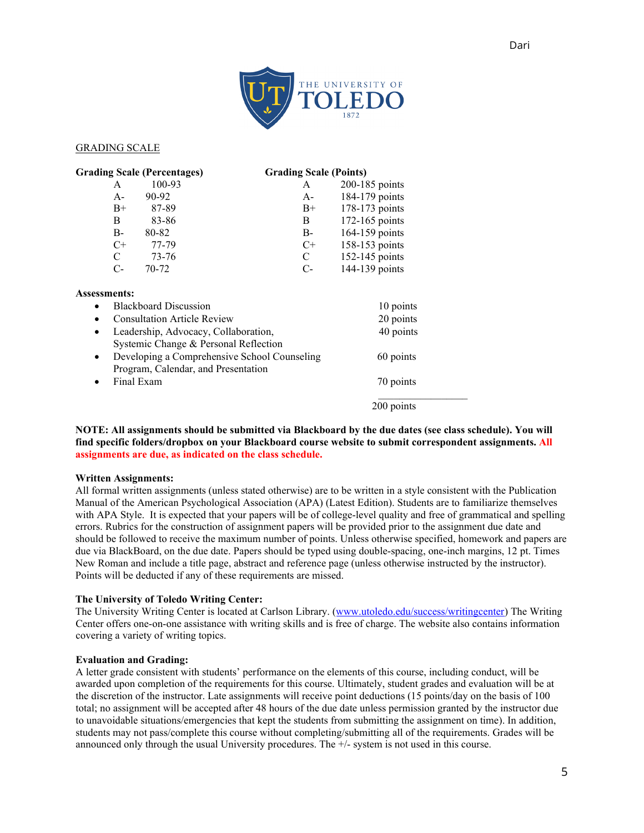

### GRADING SCALE

| <b>Grading Scale (Percentages)</b> |               |                                    | <b>Grading Scale (Points)</b>                |                |
|------------------------------------|---------------|------------------------------------|----------------------------------------------|----------------|
|                                    | A             | 100-93                             | A                                            | 200-185 points |
|                                    | $A -$         | 90-92                              | $A-$                                         | 184-179 points |
|                                    | $B+$          | 87-89                              | $B+$                                         | 178-173 points |
|                                    | B             | 83-86                              | B                                            | 172-165 points |
|                                    | B-            | 80-82                              | $B-$                                         | 164-159 points |
|                                    | $C^+$         | 77-79                              | $C^+$                                        | 158-153 points |
|                                    | $\mathcal{C}$ | 73-76                              | C                                            | 152-145 points |
|                                    | $C-$          | $70 - 72$                          | $C-$                                         | 144-139 points |
| Assessments:                       |               |                                    |                                              |                |
|                                    |               | <b>Blackboard Discussion</b>       |                                              | 10 points      |
|                                    |               | <b>Consultation Article Review</b> |                                              | 20 points      |
| $\bullet$                          |               |                                    | Leadership, Advocacy, Collaboration,         | 40 points      |
|                                    |               |                                    | Systemic Change & Personal Reflection        |                |
| $\bullet$                          |               |                                    | Developing a Comprehensive School Counseling | 60 points      |
|                                    |               |                                    | Program, Calendar, and Presentation          |                |
|                                    |               | Final Exam                         |                                              | 70 points      |
|                                    |               |                                    |                                              |                |

**NOTE: All assignments should be submitted via Blackboard by the due dates (see class schedule). You will find specific folders/dropbox on your Blackboard course website to submit correspondent assignments. All assignments are due, as indicated on the class schedule.** 

200 points

#### **Written Assignments:**

All formal written assignments (unless stated otherwise) are to be written in a style consistent with the Publication Manual of the American Psychological Association (APA) (Latest Edition). Students are to familiarize themselves with APA Style. It is expected that your papers will be of college-level quality and free of grammatical and spelling errors. Rubrics for the construction of assignment papers will be provided prior to the assignment due date and should be followed to receive the maximum number of points. Unless otherwise specified, homework and papers are due via BlackBoard, on the due date. Papers should be typed using double-spacing, one-inch margins, 12 pt. Times New Roman and include a title page, abstract and reference page (unless otherwise instructed by the instructor). Points will be deducted if any of these requirements are missed.

### **The University of Toledo Writing Center:**

The University Writing Center is located at Carlson Library. [\(www.utoledo.edu/success/writingcenter\)](http://www.utoledo.edu/success/writingcenter) The Writing Center offers one-on-one assistance with writing skills and is free of charge. The website also contains information covering a variety of writing topics.

#### **Evaluation and Grading:**

A letter grade consistent with students' performance on the elements of this course, including conduct, will be awarded upon completion of the requirements for this course. Ultimately, student grades and evaluation will be at the discretion of the instructor. Late assignments will receive point deductions (15 points/day on the basis of 100 total; no assignment will be accepted after 48 hours of the due date unless permission granted by the instructor due to unavoidable situations/emergencies that kept the students from submitting the assignment on time). In addition, students may not pass/complete this course without completing/submitting all of the requirements. Grades will be announced only through the usual University procedures. The +/- system is not used in this course.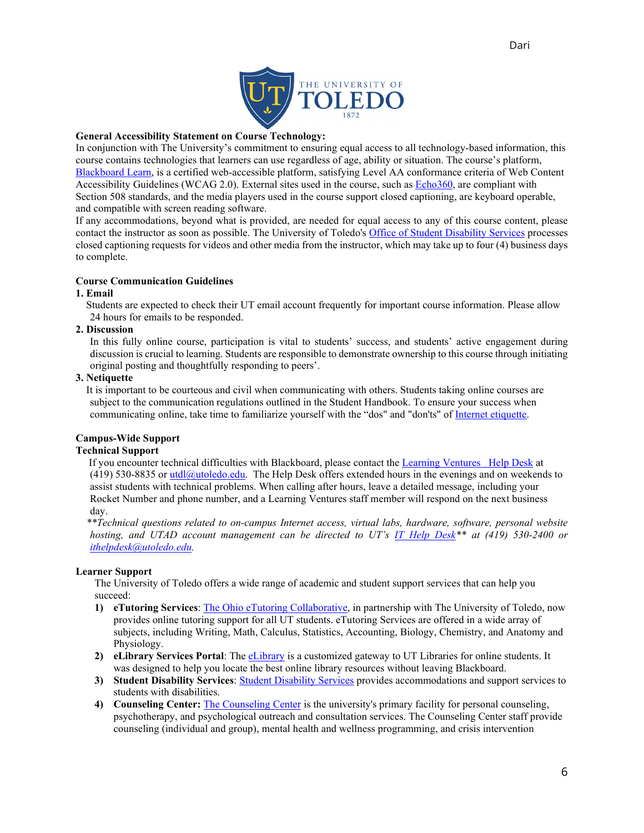

# **General Accessibility Statement on Course Technology:**

In conjunction with The University's commitment to ensuring equal access to all technology-based information, this course contains technologies that learners can use regardless of age, ability or situation. The course's platform, [Blackboard Learn,](http://www.blackboard.com/Platforms/Learn/Resources/Accessibility.aspx) is a certified web-accessible platform, satisfying Level AA conformance criteria of Web Content Accessibility Guidelines (WCAG 2.0). External sites used in the course, such as [Echo360,](http://echo360.com/press-release/echo360-earns-vpat-federal-government-section-508-accessibility-standard-credentialing) are compliant with Section 508 standards, and the media players used in the course support closed captioning, are keyboard operable, and compatible with screen reading software.

If any accommodations, beyond what is provided, are needed for equal access to any of this course content, please contact the instructor as soon as possible. The University of Toledo's [Office of Student Disability Services](http://www.utoledo.edu/offices/student-disability-services/) processes closed captioning requests for videos and other media from the instructor, which may take up to four (4) business days to complete.

# **Course Communication Guidelines**

### **1. Email**

 Students are expected to check their UT email account frequently for important course information. Please allow 24 hours for emails to be responded.

# **2. Discussion**

In this fully online course, participation is vital to students' success, and students' active engagement during discussion is crucial to learning. Students are responsible to demonstrate ownership to this course through initiating original posting and thoughtfully responding to peers'.

### **3. Netiquette**

It is important to be courteous and civil when communicating with others. Students taking online courses are subject to the communication regulations outlined in the Student Handbook. To ensure your success when communicating online, take time to familiarize yourself with the "dos" and "don'ts" of [Internet etiquette.](http://www.albion.com/netiquette)

# **Campus-Wide Support**

# **Technical Support**

If you encounter technical difficulties with Blackboard, please contact the [Learning Ventures Help Desk](http://www.utoledo.edu/dl/helpdesk/index.html) at (419) 530-8835 or utdl $@$ utoledo.edu. The Help Desk offers extended hours in the evenings and on weekends to assist students with technical problems. When calling after hours, leave a detailed message, including your Rocket Number and phone number, and a Learning Ventures staff member will respond on the next business day.

 *\*\*Technical questions related to on-campus Internet access, virtual labs, hardware, software, personal website hosting, and UTAD account management can be directed to UT's [IT Help Desk\\*](http://www.utoledo.edu/it/CS/HelpDesk.html)\* at (419) 530-2400 or [ithelpdesk@utoledo.edu.](mailto:ithelpdesk@utoledo.edu)*

### **Learner Support**

The University of Toledo offers a wide range of academic and student support services that can help you succeed:

- **1) eTutoring Services**: [The Ohio eTutoring Collaborative,](https://www.etutoring.org/login.cfm?institutionid=232&returnPage) in partnership with The University of Toledo, now provides online tutoring support for all UT students. eTutoring Services are offered in a wide array of subjects, including Writing, Math, Calculus, Statistics, Accounting, Biology, Chemistry, and Anatomy and Physiology.
- **2) eLibrary Services Portal**: The [eLibrary](http://www.utoledo.edu/dl/students/elibrary.html) is a customized gateway to UT Libraries for online students. It was designed to help you locate the best online library resources without leaving Blackboard.
- **3) Student Disability Services**[: Student Disability Services](http://www.utoledo.edu/offices/student-disability-services/index.html) provides accommodations and support services to students with disabilities.
- **4) Counseling Center:** [The Counseling Center](http://www.utoledo.edu/studentaffairs/counseling/) is the university's primary facility for personal counseling, psychotherapy, and psychological outreach and consultation services. The Counseling Center staff provide counseling (individual and group), mental health and wellness programming, and crisis intervention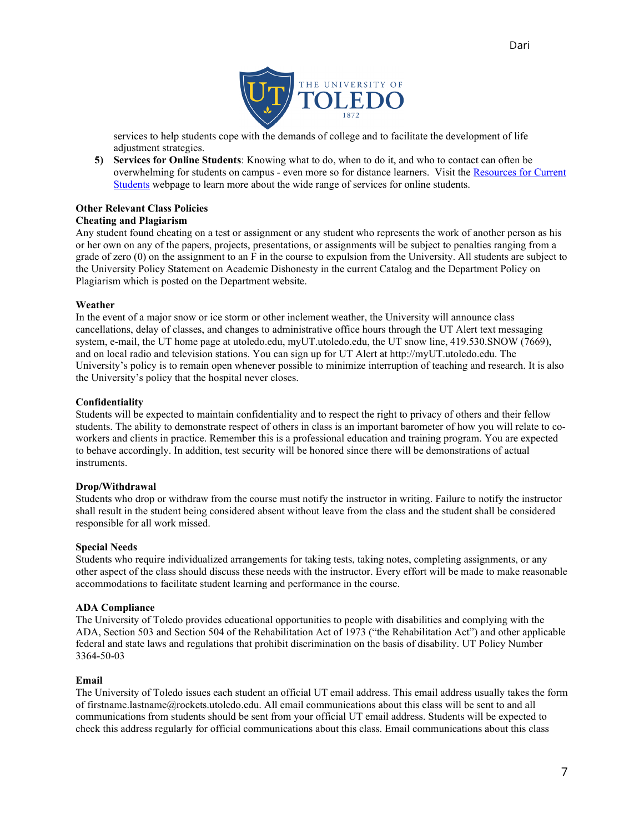

services to help students cope with the demands of college and to facilitate the development of life adjustment strategies.

**5) Services for Online Students**: Knowing what to do, when to do it, and who to contact can often be overwhelming for students on campus - even more so for distance learners. Visit the [Resources for Current](http://www.utoledo.edu/dl/students/student_serv.html)  [Students](http://www.utoledo.edu/dl/students/student_serv.html) webpage to learn more about the wide range of services for online students.

# **Other Relevant Class Policies**

# **Cheating and Plagiarism**

Any student found cheating on a test or assignment or any student who represents the work of another person as his or her own on any of the papers, projects, presentations, or assignments will be subject to penalties ranging from a grade of zero (0) on the assignment to an F in the course to expulsion from the University. All students are subject to the University Policy Statement on Academic Dishonesty in the current Catalog and the Department Policy on Plagiarism which is posted on the Department website.

### **Weather**

In the event of a major snow or ice storm or other inclement weather, the University will announce class cancellations, delay of classes, and changes to administrative office hours through the UT Alert text messaging system, e-mail, the UT home page at utoledo.edu, myUT.utoledo.edu, the UT snow line, 419.530.SNOW (7669), and on local radio and television stations. You can sign up for UT Alert at http://myUT.utoledo.edu. The University's policy is to remain open whenever possible to minimize interruption of teaching and research. It is also the University's policy that the hospital never closes.

# **Confidentiality**

Students will be expected to maintain confidentiality and to respect the right to privacy of others and their fellow students. The ability to demonstrate respect of others in class is an important barometer of how you will relate to coworkers and clients in practice. Remember this is a professional education and training program. You are expected to behave accordingly. In addition, test security will be honored since there will be demonstrations of actual instruments.

### **Drop/Withdrawal**

Students who drop or withdraw from the course must notify the instructor in writing. Failure to notify the instructor shall result in the student being considered absent without leave from the class and the student shall be considered responsible for all work missed.

### **Special Needs**

Students who require individualized arrangements for taking tests, taking notes, completing assignments, or any other aspect of the class should discuss these needs with the instructor. Every effort will be made to make reasonable accommodations to facilitate student learning and performance in the course.

### **ADA Compliance**

The University of Toledo provides educational opportunities to people with disabilities and complying with the ADA, Section 503 and Section 504 of the Rehabilitation Act of 1973 ("the Rehabilitation Act") and other applicable federal and state laws and regulations that prohibit discrimination on the basis of disability. UT Policy Number 3364-50-03

### **Email**

The University of Toledo issues each student an official UT email address. This email address usually takes the form of firstname.lastname@rockets.utoledo.edu. All email communications about this class will be sent to and all communications from students should be sent from your official UT email address. Students will be expected to check this address regularly for official communications about this class. Email communications about this class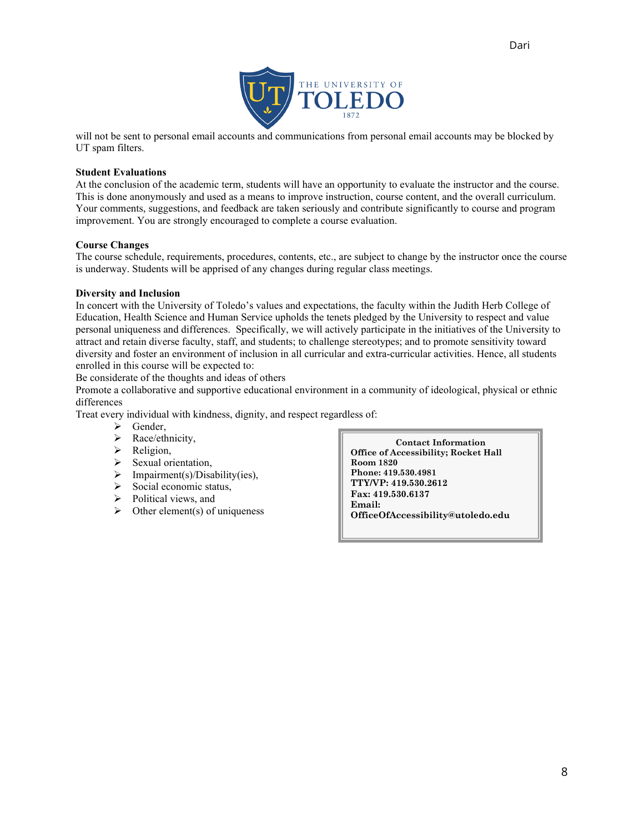

will not be sent to personal email accounts and communications from personal email accounts may be blocked by UT spam filters.

### **Student Evaluations**

At the conclusion of the academic term, students will have an opportunity to evaluate the instructor and the course. This is done anonymously and used as a means to improve instruction, course content, and the overall curriculum. Your comments, suggestions, and feedback are taken seriously and contribute significantly to course and program improvement. You are strongly encouraged to complete a course evaluation.

### **Course Changes**

The course schedule, requirements, procedures, contents, etc., are subject to change by the instructor once the course is underway. Students will be apprised of any changes during regular class meetings.

# **Diversity and Inclusion**

In concert with the University of Toledo's values and expectations, the faculty within the Judith Herb College of Education, Health Science and Human Service upholds the tenets pledged by the University to respect and value personal uniqueness and differences. Specifically, we will actively participate in the initiatives of the University to attract and retain diverse faculty, staff, and students; to challenge stereotypes; and to promote sensitivity toward diversity and foster an environment of inclusion in all curricular and extra-curricular activities. Hence, all students enrolled in this course will be expected to:

Be considerate of the thoughts and ideas of others

Promote a collaborative and supportive educational environment in a community of ideological, physical or ethnic differences

Treat every individual with kindness, dignity, and respect regardless of:

- $\triangleright$  Gender,
- > Race/ethnicity,
- > Religion,
- Sexual orientation,
- $\triangleright$  Impairment(s)/Disability(ies),
- $\triangleright$  Social economic status,
- $\triangleright$  Political views, and
- $\triangleright$  Other element(s) of uniqueness

**Contact Information Office of Accessibility; Rocket Hall Room 1820 Phone: 419.530.4981 TTY/VP: 419.530.2612 Fax: 419.530.6137 Email: OfficeOfAccessibility@utoledo.edu**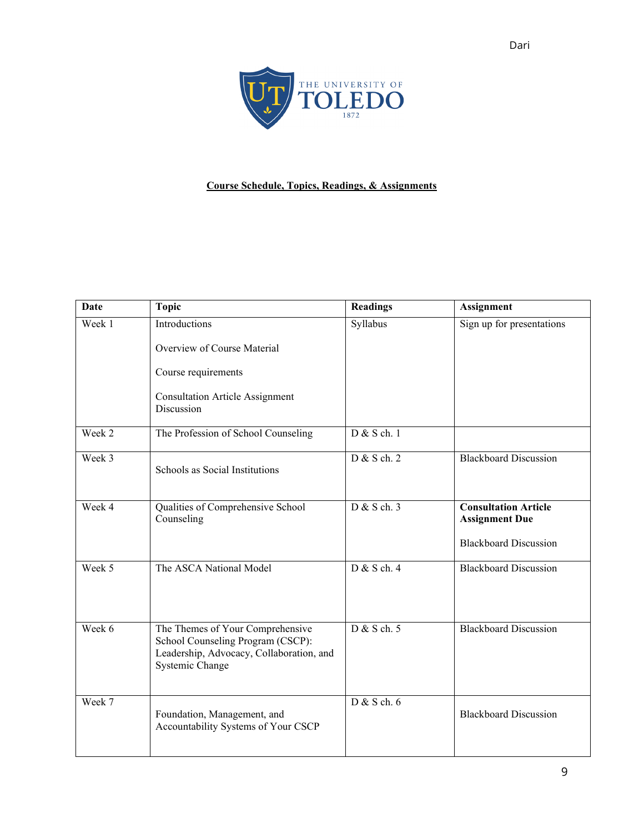

# **Course Schedule, Topics, Readings, & Assignments**

| Date   | <b>Topic</b>                                                                                                                         | <b>Readings</b> | <b>Assignment</b>                                                                    |
|--------|--------------------------------------------------------------------------------------------------------------------------------------|-----------------|--------------------------------------------------------------------------------------|
| Week 1 | Introductions<br>Overview of Course Material                                                                                         | Syllabus        | Sign up for presentations                                                            |
|        | Course requirements                                                                                                                  |                 |                                                                                      |
|        | <b>Consultation Article Assignment</b><br>Discussion                                                                                 |                 |                                                                                      |
| Week 2 | The Profession of School Counseling                                                                                                  | D & S ch. 1     |                                                                                      |
| Week 3 | Schools as Social Institutions                                                                                                       | D & S ch. 2     | <b>Blackboard Discussion</b>                                                         |
| Week 4 | Qualities of Comprehensive School<br>Counseling                                                                                      | D & S ch. 3     | <b>Consultation Article</b><br><b>Assignment Due</b><br><b>Blackboard Discussion</b> |
| Week 5 | The ASCA National Model                                                                                                              | D & S ch. 4     | <b>Blackboard Discussion</b>                                                         |
| Week 6 | The Themes of Your Comprehensive<br>School Counseling Program (CSCP):<br>Leadership, Advocacy, Collaboration, and<br>Systemic Change | D & S ch. 5     | <b>Blackboard Discussion</b>                                                         |
| Week 7 | Foundation, Management, and<br>Accountability Systems of Your CSCP                                                                   | $D & S$ ch. 6   | <b>Blackboard Discussion</b>                                                         |